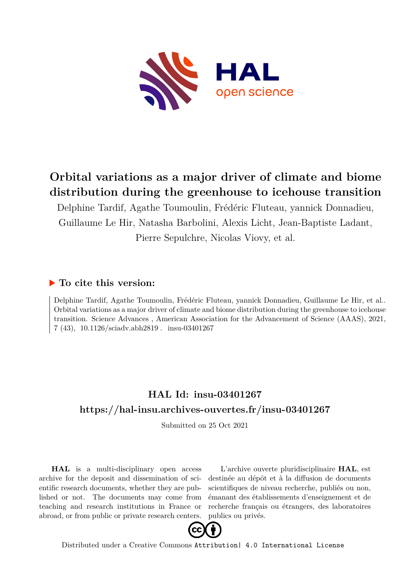

# **Orbital variations as a major driver of climate and biome distribution during the greenhouse to icehouse transition**

Delphine Tardif, Agathe Toumoulin, Frédéric Fluteau, yannick Donnadieu, Guillaume Le Hir, Natasha Barbolini, Alexis Licht, Jean-Baptiste Ladant, Pierre Sepulchre, Nicolas Viovy, et al.

## **To cite this version:**

Delphine Tardif, Agathe Toumoulin, Frédéric Fluteau, yannick Donnadieu, Guillaume Le Hir, et al.. Orbital variations as a major driver of climate and biome distribution during the greenhouse to icehouse transition. Science Advances , American Association for the Advancement of Science (AAAS), 2021,  $7(43)$ ,  $10.1126/\text{sciadv.abb2819}$ . insu-03401267

# **HAL Id: insu-03401267 <https://hal-insu.archives-ouvertes.fr/insu-03401267>**

Submitted on 25 Oct 2021

**HAL** is a multi-disciplinary open access archive for the deposit and dissemination of scientific research documents, whether they are published or not. The documents may come from teaching and research institutions in France or abroad, or from public or private research centers.

L'archive ouverte pluridisciplinaire **HAL**, est destinée au dépôt et à la diffusion de documents scientifiques de niveau recherche, publiés ou non, émanant des établissements d'enseignement et de recherche français ou étrangers, des laboratoires publics ou privés.



Distributed under a Creative Commons [Attribution| 4.0 International License](http://creativecommons.org/licenses/by/4.0/)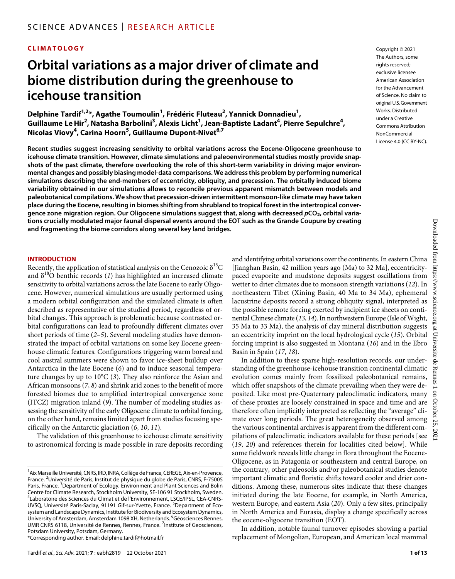### **CLIMATOLOGY**

# **Orbital variations as a major driver of climate and biome distribution during the greenhouse to icehouse transition**

**Delphine Tardif1,2 \*, Agathe Toumoulin1 , Frédéric Fluteau2 , Yannick Donnadieu1 , Guillaume LeHir2 , Natasha Barbolini3 , Alexis Licht1 , Jean-Baptiste Ladant4 , Pierre Sepulchre4 , Nicolas Viovy4 , Carina Hoorn5 , Guillaume Dupont-Nivet6,7**

**Recent studies suggest increasing sensitivity to orbital variations across the Eocene-Oligocene greenhouse to icehouse climate transition. However, climate simulations and paleoenvironmental studies mostly provide snapshots of the past climate, therefore overlooking the role of this short-term variability in driving major environmental changes and possibly biasing model-data comparisons. We address this problem by performing numerical simulations describing the end-members of eccentricity, obliquity, and precession. The orbitally induced biome variability obtained in our simulations allows to reconcile previous apparent mismatch between models and paleobotanical compilations. We show that precession-driven intermittent monsoon-like climate may have taken place during the Eocene, resulting in biomes shifting from shrubland to tropical forest in the intertropical convergence zone migration region. Our Oligocene simulations suggest that, along with decreased** *p***CO2, orbital variations crucially modulated major faunal dispersal events around the EOT such as the Grande Coupure by creating and fragmenting the biome corridors along several key land bridges.**

#### **INTRODUCTION**

Recently, the application of statistical analysis on the Cenozoic  $\delta^{13}C$ and  $\delta^{18}$ O benthic records (1) has highlighted an increased climate sensitivity to orbital variations across the late Eocene to early Oligocene. However, numerical simulations are usually performed using a modern orbital configuration and the simulated climate is often described as representative of the studied period, regardless of orbital changes. This approach is problematic because contrasted orbital configurations can lead to profoundly different climates over short periods of time (*2*–*5*). Several modeling studies have demonstrated the impact of orbital variations on some key Eocene greenhouse climatic features. Configurations triggering warm boreal and cool austral summers were shown to favor ice-sheet buildup over Antarctica in the late Eocene (*6*) and to induce seasonal temperature changes by up to 10°C (*3*). They also reinforce the Asian and African monsoons (*7*, *8*) and shrink arid zones to the benefit of more forested biomes due to amplified intertropical convergence zone (ITCZ) migration inland (*9*). The number of modeling studies assessing the sensitivity of the early Oligocene climate to orbital forcing, on the other hand, remains limited apart from studies focusing specifically on the Antarctic glaciation (*6*, *10*, *11*).

The validation of this greenhouse to icehouse climate sensitivity to astronomical forcing is made possible in rare deposits recording

\*Corresponding author. Email: [delphine.tardif@hotmail.fr](mailto:delphine.tardif@hotmail.fr)

and identifying orbital variations over the continents. In eastern China [Jianghan Basin, 42 million years ago (Ma) to 32 Ma], eccentricitypaced evaporite and mudstone deposits suggest oscillations from wetter to drier climates due to monsoon strength variations (*12*). In northeastern Tibet (Xining Basin, 40 Ma to 34 Ma), ephemeral lacustrine deposits record a strong obliquity signal, interpreted as the possible remote forcing exerted by incipient ice sheets on continental Chinese climate (*13*, *14*). In northwestern Europe (Isle of Wight, 35 Ma to 33 Ma), the analysis of clay mineral distribution suggests an eccentricity imprint on the local hydrological cycle (*15*). Orbital forcing imprint is also suggested in Montana (*16*) and in the Ebro Basin in Spain (*17*, *18*).

In addition to these sparse high-resolution records, our understanding of the greenhouse-icehouse transition continental climatic evolution comes mainly from fossilized paleobotanical remains, which offer snapshots of the climate prevailing when they were deposited. Like most pre-Quaternary paleoclimatic indicators, many of these proxies are loosely constrained in space and time and are therefore often implicitly interpreted as reflecting the "average" climate over long periods. The great heterogeneity observed among the various continental archives is apparent from the different compilations of paleoclimatic indicators available for these periods [see (*19*, *20*) and references therein for localities cited below]. While some fieldwork reveals little change in flora throughout the Eocene-Oligocene, as in Patagonia or southeastern and central Europe, on the contrary, other paleosoils and/or paleobotanical studies denote important climatic and floristic shifts toward cooler and drier conditions. Among these, numerous sites indicate that these changes initiated during the late Eocene, for example, in North America, western Europe, and eastern Asia (*20*). Only a few sites, principally in North America and Eurasia, display a change specifically across the eocene-oligocene transition (EOT).

In addition, notable faunal turnover episodes showing a partial replacement of Mongolian, European, and American local mammal

Copyright © 2021 The Authors, some rights reserved: exclusive licensee American Association for the Advancement of Science. No claim to original U.S.Government Works. Distributed under a Creative Commons Attribution **NonCommercial** License 4.0 (CC BY-NC).

<sup>&</sup>lt;sup>1</sup> Aix Marseille Université, CNRS, IRD, INRA, Collège de France, CEREGE, Aix-en-Provence, France. <sup>2</sup>Université de Paris, Institut de physique du globe de Paris, CNRS, F-75005 Paris, France. <sup>3</sup>Department of Ecology, Environment and Plant Sciences and Bolin Centre for Climate Research, Stockholm University, SE-106 91 Stockholm, Sweden. 4 Laboratoire des Sciences du Climat et de l'Environnement, LSCE/IPSL, CEA-CNRS-UVSQ, Université Paris-Saclay, 91191 Gif-sur-Yvette, France. <sup>5</sup>Department of Ecosystem and Landscape Dynamics, Institute for Biodiversity and Ecosystem Dynamics, University of Amsterdam, Amsterdam 1098 XH, Netherlands. <sup>6</sup>Géosciences Rennes, UMR CNRS 6118, Université de Rennes, Rennes, France.<sup>7</sup> Institute of Geosciences, Potsdam University, Potsdam, Germany.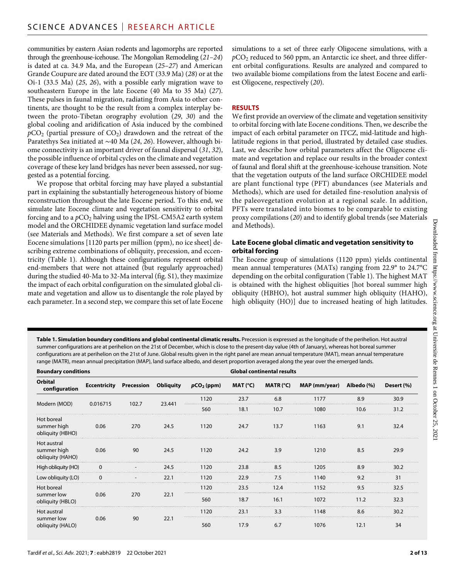communities by eastern Asian rodents and lagomorphs are reported through the greenhouse-icehouse. The Mongolian Remodeling (*21*–*24*) is dated at ca. 34.9 Ma, and the European (*25*–*27*) and American Grande Coupure are dated around the EOT (33.9 Ma) (*28*) or at the Oi-1 (33.5 Ma) (*25*, *26*), with a possible early migration wave to southeastern Europe in the late Eocene (40 Ma to 35 Ma) (*27*). These pulses in faunal migration, radiating from Asia to other continents, are thought to be the result from a complex interplay between the proto-Tibetan orography evolution (*29*, *30*) and the global cooling and aridification of Asia induced by the combined  $pCO<sub>2</sub>$  (partial pressure of  $CO<sub>2</sub>$ ) drawdown and the retreat of the Paratethys Sea initiated at ∼40 Ma (*24*, *26*). However, although biome connectivity is an important driver of faunal dispersal (*31*, *32*), the possible influence of orbital cycles on the climate and vegetation coverage of these key land bridges has never been assessed, nor suggested as a potential forcing.

We propose that orbital forcing may have played a substantial part in explaining the substantially heterogeneous history of biome reconstruction throughout the late Eocene period. To this end, we simulate late Eocene climate and vegetation sensitivity to orbital forcing and to a  $pCO<sub>2</sub>$  halving using the IPSL-CM5A2 earth system model and the ORCHIDEE dynamic vegetation land surface model (see Materials and Methods). We first compare a set of seven late Eocene simulations [1120 parts per million (ppm), no ice sheet] describing extreme combinations of obliquity, precession, and eccentricity (Table 1). Although these configurations represent orbital end-members that were not attained (but regularly approached) during the studied 40-Ma to 32-Ma interval (fig. S1), they maximize the impact of each orbital configuration on the simulated global climate and vegetation and allow us to disentangle the role played by each parameter. In a second step, we compare this set of late Eocene

simulations to a set of three early Oligocene simulations, with a *p*CO2 reduced to 560 ppm, an Antarctic ice sheet, and three different orbital configurations. Results are analyzed and compared to two available biome compilations from the latest Eocene and earliest Oligocene, respectively (*20*).

#### **RESULTS**

We first provide an overview of the climate and vegetation sensitivity to orbital forcing with late Eocene conditions. Then, we describe the impact of each orbital parameter on ITCZ, mid-latitude and highlatitude regions in that period, illustrated by detailed case studies. Last, we describe how orbital parameters affect the Oligocene climate and vegetation and replace our results in the broader context of faunal and floral shift at the greenhouse-icehouse transition. Note that the vegetation outputs of the land surface ORCHIDEE model are plant functional type (PFT) abundances (see Materials and Methods), which are used for detailed fine-resolution analysis of the paleovegetation evolution at a regional scale. In addition, PFTs were translated into biomes to be comparable to existing proxy compilations (*20*) and to identify global trends (see Materials and Methods).

#### **Late Eocene global climatic and vegetation sensitivity to orbital forcing**

The Eocene group of simulations (1120 ppm) yields continental mean annual temperatures (MATs) ranging from 22.9° to 24.7°C depending on the orbital configuration (Table 1). The highest MAT is obtained with the highest obliquities [hot boreal summer high obliquity (HBHO), hot austral summer high obliquity (HAHO), high obliquity (HO)] due to increased heating of high latitudes.

**Table 1. Simulation boundary conditions and global continental climatic results.** Precession is expressed as the longitude of the perihelion. Hot austral summer configurations are at perihelion on the 21st of December, which is close to the present-day value (4th of January), whereas hot boreal summer configurations are at perihelion on the 21st of June. Global results given in the right panel are mean annual temperature (MAT), mean annual temperature range (MATR), mean annual precipitation (MAP), land surface albedo, and desert proportion averaged along the year over the emerged lands.

| <b>Boundary conditions</b>                     |          |                                |                  | <b>Global continental results</b> |                     |             |               |            |            |
|------------------------------------------------|----------|--------------------------------|------------------|-----------------------------------|---------------------|-------------|---------------|------------|------------|
| Orbital<br>configuration                       |          | <b>Eccentricity Precession</b> | <b>Obliquity</b> | $pCO2$ (ppm)                      | MAT ( $^{\circ}$ C) | MATR $(°C)$ | MAP (mm/year) | Albedo (%) | Desert (%) |
| Modern (MOD)                                   | 0.016715 | 102.7                          | 23.441           | 1120                              | 23.7                | 6.8         | 1177          | 8.9        | 30.9       |
|                                                |          |                                |                  | 560                               | 18.1                | 10.7        | 1080          | 10.6       | 31.2       |
| Hot boreal<br>summer high<br>obliquity (HBHO)  | 0.06     | 270                            | 24.5             | 1120                              | 24.7                | 13.7        | 1163          | 9.1        | 32.4       |
| Hot austral<br>summer high<br>obliquity (HAHO) | 0.06     | 90                             | 24.5             | 1120                              | 24.2                | 3.9         | 1210          | 8.5        | 29.9       |
| High obliquity (HO)                            |          |                                | 24.5             | 1120                              | 23.8                | 8.5         | 1205          | 8.9        | 30.2       |
| Low obliquity (LO)                             |          |                                | 22.1             | 1120                              | 22.9                | 7.5         | 1140          | 9.2        | 31         |
| Hot boreal                                     | 0.06     | 270                            | 22.1             | 1120                              | 23.5                | 12.4        | 1152          | 9.5        | 32.5       |
| summer low<br>obliquity (HBLO)                 |          |                                |                  | 560                               | 18.7                | 16.1        | 1072          | 11.2       | 32.3       |
| Hot austral<br>summer low<br>obliquity (HALO)  | 0.06     | 90                             | 22.1             | 1120                              | 23.1                | 3.3         | 1148          | 8.6        | 30.2       |
|                                                |          |                                |                  | 560                               | 17.9                | 6.7         | 1076          | 12.1       | 34         |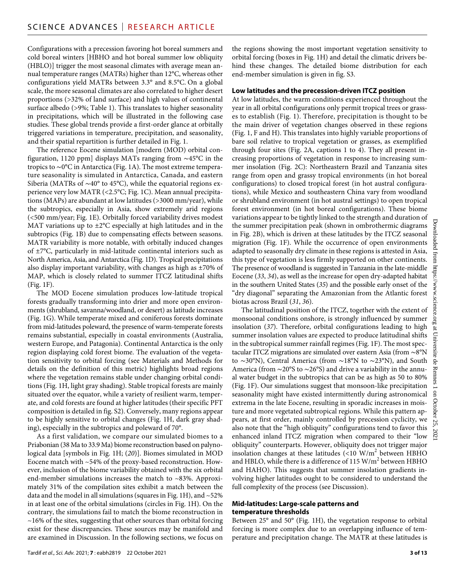Configurations with a precession favoring hot boreal summers and cold boreal winters [HBHO and hot boreal summer low obliquity (HBLO)] trigger the most seasonal climates with average mean annual temperature ranges (MATRs) higher than 12°C, whereas other configurations yield MATRs between 3.3° and 8.5°C. On a global scale, the more seasonal climates are also correlated to higher desert proportions (>32% of land surface) and high values of continental surface albedo (>9%; Table 1). This translates to higher seasonality in precipitations, which will be illustrated in the following case studies. These global trends provide a first-order glance at orbitally triggered variations in temperature, precipitation, and seasonality, and their spatial repartition is further detailed in Fig. 1.

The reference Eocene simulation [modern (MOD) orbital configuration, 1120 ppm] displays MATs ranging from ∼45°C in the tropics to ∼0°C in Antarctica (Fig. 1A). The most extreme temperature seasonality is simulated in Antarctica, Canada, and eastern Siberia (MATRs of ∼40° to 45°C), while the equatorial regions experience very low MATR (<2.5°C; Fig. 1C). Mean annual precipitations (MAPs) are abundant at low latitudes (>3000 mm/year), while the subtropics, especially in Asia, show extremely arid regions (<500 mm/year; Fig. 1E). Orbitally forced variability drives modest MAT variations up to  $\pm 2^{\circ}$ C especially at high latitudes and in the subtropics (Fig. 1B) due to compensating effects between seasons. MATR variability is more notable, with orbitally induced changes of ±7°C, particularly in mid-latitude continental interiors such as North America, Asia, and Antarctica (Fig. 1D). Tropical precipitations also display important variability, with changes as high as ±70% of MAP, which is closely related to summer ITCZ latitudinal shifts (Fig. 1F).

The MOD Eocene simulation produces low-latitude tropical forests gradually transforming into drier and more open environments (shrubland, savanna/woodland, or desert) as latitude increases (Fig. 1G). While temperate mixed and coniferous forests dominate from mid-latitudes poleward, the presence of warm-temperate forests remains substantial, especially in coastal environments (Australia, western Europe, and Patagonia). Continental Antarctica is the only region displaying cold forest biome. The evaluation of the vegetation sensitivity to orbital forcing (see Materials and Methods for details on the definition of this metric) highlights broad regions where the vegetation remains stable under changing orbital conditions (Fig. 1H, light gray shading). Stable tropical forests are mainly situated over the equator, while a variety of resilient warm, temperate, and cold forests are found at higher latitudes (their specific PFT composition is detailed in fig. S2). Conversely, many regions appear to be highly sensitive to orbital changes (Fig. 1H, dark gray shading), especially in the subtropics and poleward of 70°.

As a first validation, we compare our simulated biomes to a Priabonian (38 Ma to 33.9 Ma) biome reconstruction based on palynological data [symbols in Fig. 1H; (*20*)]. Biomes simulated in MOD Eocene match with ~54% of the proxy-based reconstruction. However, inclusion of the biome variability obtained with the six orbital end-member simulations increases the match to ~83%. Approximately 31% of the compilation sites exhibit a match between the data and the model in all simulations (squares in Fig. 1H), and  $\sim$  52% in at least one of the orbital simulations (circles in Fig. 1H). On the contrary, the simulations fail to match the biome reconstruction in  $\sim$ 16% of the sites, suggesting that other sources than orbital forcing exist for these discrepancies. These sources may be manifold and are examined in Discussion. In the following sections, we focus on

the regions showing the most important vegetation sensitivity to orbital forcing (boxes in Fig. 1H) and detail the climatic drivers behind these changes. The detailed biome distribution for each end-member simulation is given in fig. S3.

#### **Low latitudes and the precession-driven ITCZ position**

At low latitudes, the warm conditions experienced throughout the year in all orbital configurations only permit tropical trees or grasses to establish (Fig. 1). Therefore, precipitation is thought to be the main driver of vegetation changes observed in these regions (Fig. 1, F and H). This translates into highly variable proportions of bare soil relative to tropical vegetation or grasses, as exemplified through four sites (Fig. 2A, captions 1 to 4). They all present increasing proportions of vegetation in response to increasing summer insolation (Fig. 2C): Northeastern Brazil and Tanzania sites range from open and grassy tropical environments (in hot boreal configurations) to closed tropical forest (in hot austral configurations), while Mexico and southeastern China vary from woodland or shrubland environment (in hot austral settings) to open tropical forest environment (in hot boreal configurations). These biome variations appear to be tightly linked to the strength and duration of the summer precipitation peak (shown in ombrothermic diagrams in Fig. 2B), which is driven at these latitudes by the ITCZ seasonal migration (Fig. 1F). While the occurrence of open environments adapted to seasonally dry climate in these regions is attested in Asia, this type of vegetation is less firmly supported on other continents. The presence of woodland is suggested in Tanzania in the late-middle Eocene (*33*, *34*), as well as the increase for open dry-adapted habitat in the southern United States (*35*) and the possible early onset of the "dry diagonal" separating the Amazonian from the Atlantic forest biotas across Brazil (*31*, *36*).

The latitudinal position of the ITCZ, together with the extent of monsoonal conditions onshore, is strongly influenced by summer insolation (*37*). Therefore, orbital configurations leading to high summer insolation values are expected to produce latitudinal shifts in the subtropical summer rainfall regimes (Fig. 1F). The most spectacular ITCZ migrations are simulated over eastern Asia (from ∼8°N to ∼30°N), Central America (from ∼18°N to ∼23°N), and South America (from ∼20°S to ∼26°S) and drive a variability in the annual water budget in the subtropics that can be as high as 50 to 80% (Fig. 1F). Our simulations suggest that monsoon-like precipitation seasonality might have existed intermittently during astronomical extrema in the late Eocene, resulting in sporadic increases in moisture and more vegetated subtropical regions. While this pattern appears, at first order, mainly controlled by precession cyclicity, we also note that the "high obliquity" configurations tend to favor this enhanced inland ITCZ migration when compared to their "low obliquity" counterparts. However, obliquity does not trigger major insolation changes at these latitudes  $(<10 \text{ W/m}^2$  between HBHO and HBLO, while there is a difference of  $115 \text{ W/m}^2$  between HBHO and HAHO). This suggests that summer insolation gradients involving higher latitudes ought to be considered to understand the full complexity of the process (see Discussion).

#### **Mid-latitudes: Large-scale patterns and temperature thresholds**

Between 25° and 50° (Fig. 1H), the vegetation response to orbital forcing is more complex due to an overlapping influence of temperature and precipitation change. The MATR at these latitudes is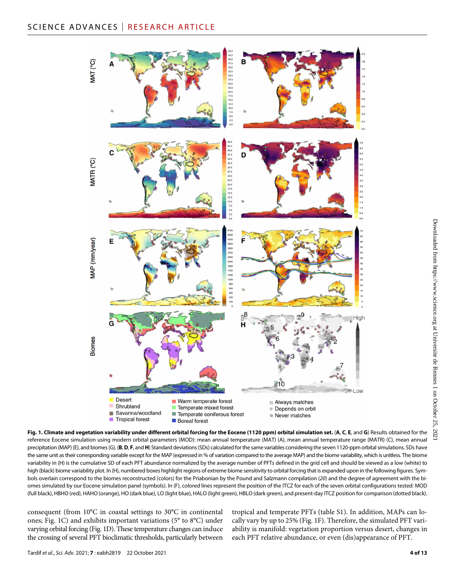

**Fig. 1. Climate and vegetation variability under different orbital forcing for the Eocene (1120 ppm) orbital simulation set.** (**A**, **C**, **E**, and **G**) Results obtained for the reference Eocene simulation using modern orbital parameters (MOD): mean annual temperature (MAT) (A), mean annual temperature range (MATR) (C), mean annual precipitation (MAP) (E), and biomes (G). (B, D, F, and H) Standard deviations (SDs) calculated for the same variables considering the seven 1120-ppm orbital simulations. SDs have the same unit as their corresponding variable except for the MAP (expressed in % of variation compared to the average MAP) and the biome variability, which is unitless. The biome variability in (H) is the cumulative SD of each PFT abundance normalized by the average number of PFTs defined in the grid cell and should be viewed as a low (white) to high (black) biome variability plot. In (H), numbered boxes highlight regions of extreme biome sensitivity to orbital forcing that is expanded upon in the following figures. Symbols overlain correspond to the biomes reconstructed (colors) for the Priabonian by the Pound and Salzmann compilation (*20*) and the degree of agreement with the biomes simulated by our Eocene simulation panel (symbols). In (F), colored lines represent the position of the ITCZ for each of the seven orbital configurations tested: MOD (full black), HBHO (red), HAHO (orange), HO (dark blue), LO (light blue), HALO (light green), HBLO (dark green), and present-day ITCZ position for comparison (dotted black).

consequent (from 10°C in coastal settings to 30°C in continental ones; Fig. 1C) and exhibits important variations (5° to 8°C) under varying orbital forcing (Fig. 1D). These temperature changes can induce the crossing of several PFT bioclimatic thresholds, particularly between

tropical and temperate PFTs (table S1). In addition, MAPs can locally vary by up to 25% (Fig. 1F). Therefore, the simulated PFT variability is manifold: vegetation proportion versus desert, changes in each PFT relative abundance, or even (dis)appearance of PFT.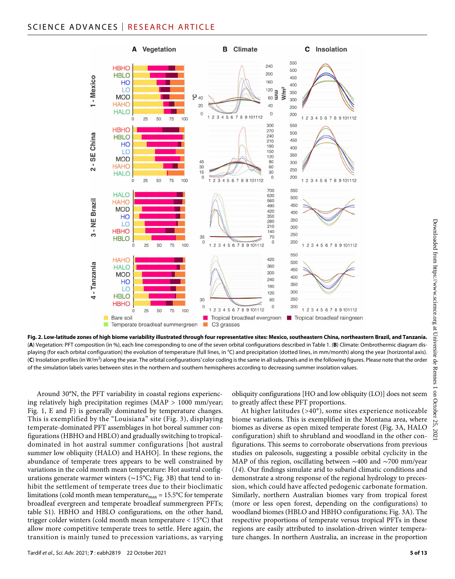## SCIENCE ADVANCES | RESEARCH ARTICLE



**Fig. 2. Low-latitude zones of high biome variability illustrated through four representative sites: Mexico, southeastern China, northeastern Brazil, and Tanzania.** (**A**) Vegetation: PFT composition (in %), each line corresponding to one of the seven orbital configurations described in Table 1. (**B**) Climate: Ombrothermic diagram displaying (for each orbital configuration) the evolution of temperature (full lines, in °C) and precipitation (dotted lines, in mm/month) along the year (horizontal axis). (**C**) Insolation profiles (in W/m<sup>2</sup> ) along the year. The orbital configurations' color coding is the same in all subpanels and in the following figures. Please note that the order of the simulation labels varies between sites in the northern and southern hemispheres according to decreasing summer insolation values.

Around 30°N, the PFT variability in coastal regions experiencing relatively high precipitation regimes (MAP > 1000 mm/year; Fig. 1, E and F) is generally dominated by temperature changes. This is exemplified by the "Louisiana" site (Fig. 3), displaying temperate-dominated PFT assemblages in hot boreal summer configurations (HBHO and HBLO) and gradually switching to tropicaldominated in hot austral summer configurations [hot austral summer low obliquity (HALO) and HAHO]. In these regions, the abundance of temperate trees appears to be well constrained by variations in the cold month mean temperature: Hot austral configurations generate warmer winters (∼15°C; Fig. 3B) that tend to inhibit the settlement of temperate trees due to their bioclimatic limitations (cold month mean temperaturemax = 15.5°C for temperate broadleaf evergreen and temperate broadleaf summergreen PFTs; table S1). HBHO and HBLO configurations, on the other hand, trigger colder winters (cold month mean temperature < 15°C) that allow more competitive temperate trees to settle. Here again, the transition is mainly tuned to precession variations, as varying obliquity configurations [HO and low obliquity (LO)] does not seem to greatly affect these PFT proportions.

At higher latitudes (>40°), some sites experience noticeable biome variations. This is exemplified in the Montana area, where biomes as diverse as open mixed temperate forest (Fig. 3A, HALO configuration) shift to shrubland and woodland in the other configurations. This seems to corroborate observations from previous studies on paleosols, suggesting a possible orbital cyclicity in the MAP of this region, oscillating between ∼400 and ∼700 mm/year (*14*). Our findings simulate arid to subarid climatic conditions and demonstrate a strong response of the regional hydrology to precession, which could have affected pedogenic carbonate formation. Similarly, northern Australian biomes vary from tropical forest (more or less open forest, depending on the configurations) to woodland biomes (HBLO and HBHO configurations; Fig. 3A). The respective proportions of temperate versus tropical PFTs in these regions are easily attributed to insolation-driven winter temperature changes. In northern Australia, an increase in the proportion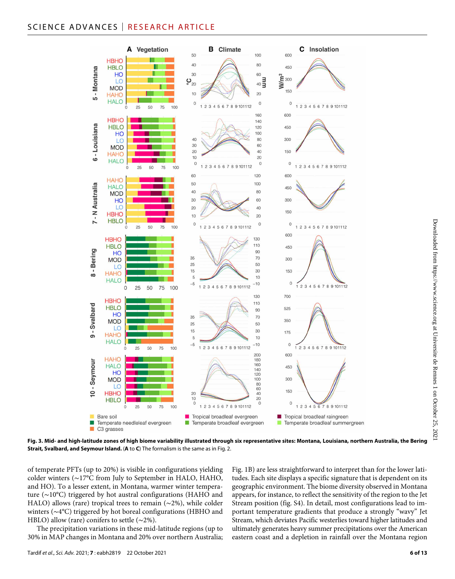## SCIENCE ADVANCES | RESEARCH ARTICLE



**Fig. 3. Mid- and high-latitude zones of high biome variability illustrated through six representative sites: Montana, Louisiana, northern Australia, the Bering Strait, Svalbard, and Seymour Island.** (**A** to **C**) The formalism is the same as in Fig. 2.

of temperate PFTs (up to 20%) is visible in configurations yielding colder winters (∼17°C from July to September in HALO, HAHO, and HO). To a lesser extent, in Montana, warmer winter temperature (∼10°C) triggered by hot austral configurations (HAHO and HALO) allows (rare) tropical trees to remain (∼2%), while colder winters (∼4°C) triggered by hot boreal configurations (HBHO and HBLO) allow (rare) conifers to settle (∼2%).

The precipitation variations in these mid-latitude regions (up to 30% in MAP changes in Montana and 20% over northern Australia; Fig. 1B) are less straightforward to interpret than for the lower latitudes. Each site displays a specific signature that is dependent on its geographic environment. The biome diversity observed in Montana appears, for instance, to reflect the sensitivity of the region to the Jet Stream position (fig. S4). In detail, most configurations lead to important temperature gradients that produce a strongly "wavy" Jet Stream, which deviates Pacific westerlies toward higher latitudes and ultimately generates heavy summer precipitations over the American eastern coast and a depletion in rainfall over the Montana region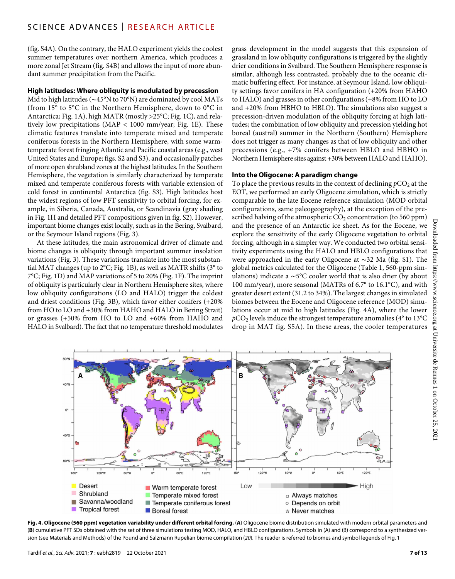(fig. S4A). On the contrary, the HALO experiment yields the coolest summer temperatures over northern America, which produces a more zonal Jet Stream (fig. S4B) and allows the input of more abundant summer precipitation from the Pacific.

#### **High latitudes: Where obliquity is modulated by precession**

Mid to high latitudes (∼45°N to 70°N) are dominated by cool MATs (from 15° to 5°C in the Northern Hemisphere, down to 0°C in Antarctica; Fig. 1A), high MATR (mostly >25°C; Fig. 1C), and relatively low precipitations (MAP < 1000 mm/year; Fig. 1E). These climatic features translate into temperate mixed and temperate coniferous forests in the Northern Hemisphere, with some warmtemperate forest fringing Atlantic and Pacific coastal areas (e.g., west United States and Europe; figs. S2 and S3), and occasionally patches of more open shrubland zones at the highest latitudes. In the Southern Hemisphere, the vegetation is similarly characterized by temperate mixed and temperate coniferous forests with variable extension of cold forest in continental Antarctica (fig. S3). High latitudes host the widest regions of low PFT sensitivity to orbital forcing, for example, in Siberia, Canada, Australia, or Scandinavia (gray shading in Fig. 1H and detailed PFT compositions given in fig. S2). However, important biome changes exist locally, such as in the Bering, Svalbard, or the Seymour Island regions (Fig. 3).

At these latitudes, the main astronomical driver of climate and biome changes is obliquity through important summer insolation variations (Fig. 3). These variations translate into the most substantial MAT changes (up to 2°C; Fig. 1B), as well as MATR shifts (3° to 7°C; Fig. 1D) and MAP variations of 5 to 20% (Fig. 1F). The imprint of obliquity is particularly clear in Northern Hemisphere sites, where low obliquity configurations (LO and HALO) trigger the coldest and driest conditions (Fig. 3B), which favor either conifers (+20% from HO to LO and +30% from HAHO and HALO in Bering Strait) or grasses (+50% from HO to LO and +60% from HAHO and HALO in Svalbard). The fact that no temperature threshold modulates

grass development in the model suggests that this expansion of grassland in low obliquity configurations is triggered by the slightly drier conditions in Svalbard. The Southern Hemisphere response is similar, although less contrasted, probably due to the oceanic climatic buffering effect. For instance, at Seymour Island, low obliquity settings favor conifers in HA configuration (+20% from HAHO to HALO) and grasses in other configurations (+8% from HO to LO and +20% from HBHO to HBLO). The simulations also suggest a precession-driven modulation of the obliquity forcing at high latitudes; the combination of low obliquity and precession yielding hot boreal (austral) summer in the Northern (Southern) Hemisphere does not trigger as many changes as that of low obliquity and other precessions (e.g., +7% conifers between HBLO and HBHO in Northern Hemisphere sites against +30% between HALO and HAHO).

#### **Into the Oligocene: A paradigm change**

To place the previous results in the context of declining  $pCO_2$  at the EOT, we performed an early Oligocene simulation, which is strictly comparable to the late Eocene reference simulation (MOD orbital configurations, same paleogeography), at the exception of the prescribed halving of the atmospheric  $CO<sub>2</sub>$  concentration (to 560 ppm) and the presence of an Antarctic ice sheet. As for the Eocene, we explore the sensitivity of the early Oligocene vegetation to orbital forcing, although in a simpler way. We conducted two orbital sensitivity experiments using the HALO and HBLO configurations that were approached in the early Oligocene at ∼32 Ma (fig. S1). The global metrics calculated for the Oligocene (Table 1, 560-ppm simulations) indicate a ∼5°C cooler world that is also drier (by about 100 mm/year), more seasonal (MATRs of 6.7° to 16.1°C), and with greater desert extent (31.2 to 34%). The largest changes in simulated biomes between the Eocene and Oligocene reference (MOD) simulations occur at mid to high latitudes (Fig. 4A), where the lower  $pCO<sub>2</sub>$  levels induce the strongest temperature anomalies (4 $\degree$  to 13 $\degree$ C drop in MAT fig. S5A). In these areas, the cooler temperatures



**Fig. 4. Oligocene (560 ppm) vegetation variability under different orbital forcing.** (**A**) Oligocene biome distribution simulated with modern orbital parameters and (**B**) cumulative PFT SDs obtained with the set of three simulations testing MOD, HALO, and HBLO configurations. Symbols in (A) and (B) correspond to a synthesized version (see Materials and Methods) of the Pound and Salzmann Rupelian biome compilation (*20*). The reader is referred to biomes and symbol legends of Fig. 1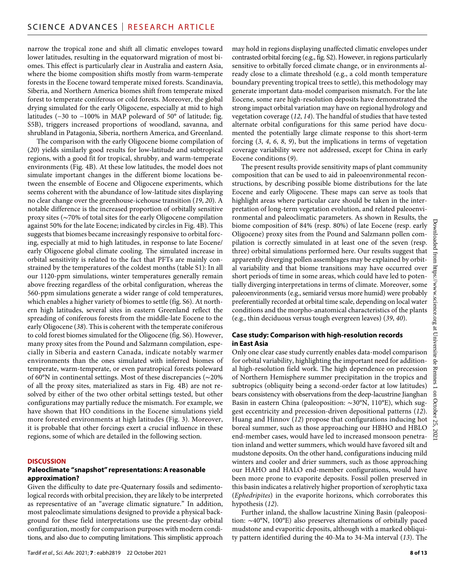narrow the tropical zone and shift all climatic envelopes toward lower latitudes, resulting in the equatorward migration of most biomes. This effect is particularly clear in Australia and eastern Asia, where the biome composition shifts mostly from warm-temperate forests in the Eocene toward temperate mixed forests. Scandinavia, Siberia, and Northern America biomes shift from temperate mixed forest to temperate coniferous or cold forests. Moreover, the global drying simulated for the early Oligocene, especially at mid to high latitudes (−30 to −100% in MAP poleward of 50° of latitude; fig. S5B), triggers increased proportions of woodland, savanna, and shrubland in Patagonia, Siberia, northern America, and Greenland.

The comparison with the early Oligocene biome compilation of (*20*) yields similarly good results for low-latitude and subtropical regions, with a good fit for tropical, shrubby, and warm-temperate environments (Fig. 4B). At these low latitudes, the model does not simulate important changes in the different biome locations between the ensemble of Eocene and Oligocene experiments, which seems coherent with the abundance of low-latitude sites displaying no clear change over the greenhouse-icehouse transition (*19*, *20*). A notable difference is the increased proportion of orbitally sensitive proxy sites (∼70% of total sites for the early Oligocene compilation against 50% for the late Eocene; indicated by circles in Fig. 4B). This suggests that biomes became increasingly responsive to orbital forcing, especially at mid to high latitudes, in response to late Eocene/ early Oligocene global climate cooling. The simulated increase in orbital sensitivity is related to the fact that PFTs are mainly constrained by the temperatures of the coldest months (table S1): In all our 1120-ppm simulations, winter temperatures generally remain above freezing regardless of the orbital configuration, whereas the 560-ppm simulations generate a wider range of cold temperatures, which enables a higher variety of biomes to settle (fig. S6). At northern high latitudes, several sites in eastern Greenland reflect the spreading of coniferous forests from the middle-late Eocene to the early Oligocene (*38*). This is coherent with the temperate coniferous to cold forest biomes simulated for the Oligocene (fig. S6). However, many proxy sites from the Pound and Salzmann compilation, especially in Siberia and eastern Canada, indicate notably warmer environments than the ones simulated with inferred biomes of temperate, warm-temperate, or even paratropical forests poleward of 60°N in continental settings. Most of these discrepancies (∼20% of all the proxy sites, materialized as stars in Fig. 4B) are not resolved by either of the two other orbital settings tested, but other configurations may partially reduce the mismatch. For example, we have shown that HO conditions in the Eocene simulations yield more forested environments at high latitudes (Fig. 3). Moreover, it is probable that other forcings exert a crucial influence in these regions, some of which are detailed in the following section.

#### **DISCUSSION**

#### **Paleoclimate "snapshot" representations: A reasonable approximation?**

Given the difficulty to date pre-Quaternary fossils and sedimentological records with orbital precision, they are likely to be interpreted as representative of an "average climatic signature." In addition, most paleoclimate simulations designed to provide a physical background for these field interpretations use the present-day orbital configuration, mostly for comparison purposes with modern conditions, and also due to computing limitations. This simplistic approach

may hold in regions displaying unaffected climatic envelopes under contrasted orbital forcing (e.g., fig. S2). However, in regions particularly sensitive to orbitally forced climate change, or in environments already close to a climate threshold (e.g., a cold month temperature boundary preventing tropical trees to settle), this methodology may generate important data-model comparison mismatch. For the late Eocene, some rare high-resolution deposits have demonstrated the strong impact orbital variation may have on regional hydrology and vegetation coverage (*12*, *14*). The handful of studies that have tested alternate orbital configurations for this same period have documented the potentially large climate response to this short-term forcing (*3*, *4*, *6*, *8*, *9*), but the implications in terms of vegetation coverage variability were not addressed, except for China in early Eocene conditions (*9*).

The present results provide sensitivity maps of plant community composition that can be used to aid in paleoenvironmental reconstructions, by describing possible biome distributions for the late Eocene and early Oligocene. These maps can serve as tools that highlight areas where particular care should be taken in the interpretation of long-term vegetation evolution, and related paleoenvironmental and paleoclimatic parameters. As shown in Results, the biome composition of 84% (resp. 80%) of late Eocene (resp. early Oligocene) proxy sites from the Pound and Salzmann pollen compilation is correctly simulated in at least one of the seven (resp. three) orbital simulations performed here. Our results suggest that apparently diverging pollen assemblages may be explained by orbital variability and that biome transitions may have occurred over short periods of time in some areas, which could have led to potentially diverging interpretations in terms of climate. Moreover, some paleoenvironments (e.g., semiarid versus more humid) were probably preferentially recorded at orbital time scale, depending on local water conditions and the morpho-anatomical characteristics of the plants (e.g., thin deciduous versus tough evergreen leaves) (*39*, *40*).

#### **Case study: Comparison with high-resolution records in East Asia**

Only one clear case study currently enables data-model comparison for orbital variability, highlighting the important need for additional high-resolution field work. The high dependence on precession of Northern Hemisphere summer precipitation in the tropics and subtropics (obliquity being a second-order factor at low latitudes) bears consistency with observations from the deep-lacustrine Jianghan Basin in eastern China (paleoposition: ∼30°N, 110°E), which suggest eccentricity and precession-driven depositional patterns (*12*). Huang and Hinnov (*12*) propose that configurations inducing hot boreal summer, such as those approaching our HBHO and HBLO end-member cases, would have led to increased monsoon penetration inland and wetter summers, which would have favored silt and mudstone deposits. On the other hand, configurations inducing mild winters and cooler and drier summers, such as those approaching our HAHO and HALO end-member configurations, would have been more prone to evaporite deposits. Fossil pollen preserved in this basin indicates a relatively higher proportion of xerophytic taxa (*Ephedripites*) in the evaporite horizons, which corroborates this hypothesis (*12*).

Further inland, the shallow lacustrine Xining Basin (paleoposition: ∼40°N, 100°E) also preserves alternations of orbitally paced mudstone and evaporitic deposits, although with a marked obliquity pattern identified during the 40-Ma to 34-Ma interval (*13*). The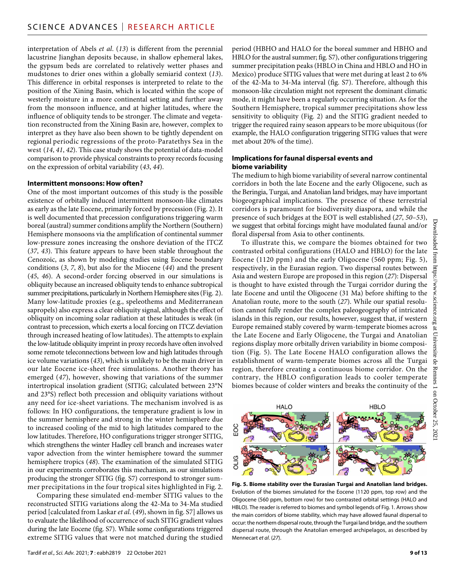interpretation of Abels *et al*. (*13*) is different from the perennial lacustrine Jianghan deposits because, in shallow ephemeral lakes, the gypsum beds are correlated to relatively wetter phases and mudstones to drier ones within a globally semiarid context (*13*). This difference in orbital responses is interpreted to relate to the position of the Xining Basin, which is located within the scope of westerly moisture in a more continental setting and further away from the monsoon influence, and at higher latitudes, where the influence of obliquity tends to be stronger. The climate and vegetation reconstructed from the Xining Basin are, however, complex to interpret as they have also been shown to be tightly dependent on regional periodic regressions of the proto-Paratethys Sea in the west (*14*, *41*, *42*). This case study shows the potential of data-model comparison to provide physical constraints to proxy records focusing on the expression of orbital variability (*43*, *44*).

#### **Intermittent monsoons: How often?**

One of the most important outcomes of this study is the possible existence of orbitally induced intermittent monsoon-like climates as early as the late Eocene, primarily forced by precession (Fig. 2). It is well documented that precession configurations triggering warm boreal (austral) summer conditions amplify the Northern (Southern) Hemisphere monsoons via the amplification of continental summer low-pressure zones increasing the onshore deviation of the ITCZ (*37*, *43*). This feature appears to have been stable throughout the Cenozoic, as shown by modeling studies using Eocene boundary conditions (*3*, *7*, *8*), but also for the Miocene (*44*) and the present (*45*, *46*). A second-order forcing observed in our simulations is obliquity because an increased obliquity tends to enhance subtropical summer precipitations, particularly in Northern Hemisphere sites (Fig. 2). Many low-latitude proxies (e.g., speleothems and Mediterranean sapropels) also express a clear obliquity signal, although the effect of obliquity on incoming solar radiation at these latitudes is weak (in contrast to precession, which exerts a local forcing on ITCZ deviation through increased heating of low latitudes). The attempts to explain the low-latitude obliquity imprint in proxy records have often involved some remote teleconnections between low and high latitudes through ice volume variations (*43*), which is unlikely to be the main driver in our late Eocene ice-sheet free simulations. Another theory has emerged (*47*), however, showing that variations of the summer intertropical insolation gradient (SITIG; calculated between 23°N and 23°S) reflect both precession and obliquity variations without any need for ice-sheet variations. The mechanism involved is as follows: In HO configurations, the temperature gradient is low in the summer hemisphere and strong in the winter hemisphere due to increased cooling of the mid to high latitudes compared to the low latitudes. Therefore, HO configurations trigger stronger SITIG, which strengthens the winter Hadley cell branch and increases water vapor advection from the winter hemisphere toward the summer hemisphere tropics (*48*). The examination of the simulated SITIG in our experiments corroborates this mechanism, as our simulations producing the stronger SITIG (fig. S7) correspond to stronger summer precipitations in the four tropical sites highlighted in Fig. 2.

Comparing these simulated end-member SITIG values to the reconstructed SITIG variations along the 42-Ma to 34-Ma studied period [calculated from Laskar *et al*. (*49*), shown in fig. S7] allows us to evaluate the likelihood of occurrence of such SITIG gradient values during the late Eocene (fig. S7). While some configurations triggered extreme SITIG values that were not matched during the studied

period (HBHO and HALO for the boreal summer and HBHO and HBLO for the austral summer; fig. S7), other configurations triggering summer precipitation peaks (HBLO in China and HBLO and HO in Mexico) produce SITIG values that were met during at least 2 to 6% of the 42-Ma to 34-Ma interval (fig. S7). Therefore, although this monsoon-like circulation might not represent the dominant climatic mode, it might have been a regularly occurring situation. As for the Southern Hemisphere, tropical summer precipitations show less sensitivity to obliquity (Fig. 2) and the SITIG gradient needed to trigger the required rainy season appears to be more ubiquitous (for example, the HALO configuration triggering SITIG values that were met about 20% of the time).

#### **Implications forfaunal dispersal events and biome variability**

The medium to high biome variability of several narrow continental corridors in both the late Eocene and the early Oligocene, such as the Beringia, Turgai, and Anatolian land bridges, may have important biogeographical implications. The presence of these terrestrial corridors is paramount for biodiversity diaspora, and while the presence of such bridges at the EOT is well established (*27*, *50*–*53*), we suggest that orbital forcings might have modulated faunal and/or floral dispersal from Asia to other continents.

To illustrate this, we compare the biomes obtained for two contrasted orbital configurations (HALO and HBLO) for the late Eocene (1120 ppm) and the early Oligocene (560 ppm; Fig. 5), respectively, in the Eurasian region. Two dispersal routes between Asia and western Europe are proposed in this region (*27*): Dispersal is thought to have existed through the Turgai corridor during the late Eocene and until the Oligocene (31 Ma) before shifting to the Anatolian route, more to the south (*27*). While our spatial resolution cannot fully render the complex paleogeography of intricated islands in this region, our results, however, suggest that, if western Europe remained stably covered by warm-temperate biomes across the Late Eocene and Early Oligocene, the Turgai and Anatolian regions display more orbitally driven variability in biome composition (Fig. 5). The Late Eocene HALO configuration allows the establishment of warm-temperate biomes across all the Turgai region, therefore creating a continuous biome corridor. On the contrary, the HBLO configuration leads to cooler temperate biomes because of colder winters and breaks the continuity of the



**Fig. 5. Biome stability over the Eurasian Turgai and Anatolian land bridges.** Evolution of the biomes simulated for the Eocene (1120 ppm, top row) and the Oligocene (560 ppm, bottom row) for two contrasted orbital settings (HALO and HBLO). The reader is referred to biomes and symbol legends of Fig. 1. Arrows show the main corridors of biome stability, which may have allowed faunal dispersal to occur: the northern dispersal route, through the Turgai land bridge, and the southern dispersal route, through the Anatolian emerged archipelagos, as described by Mennecart *et al*. (*27*).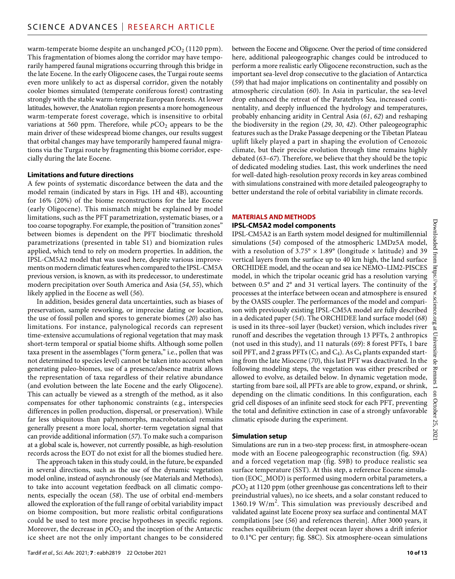warm-temperate biome despite an unchanged  $pCO_2$  (1120 ppm). This fragmentation of biomes along the corridor may have temporarily hampered faunal migrations occurring through this bridge in the late Eocene. In the early Oligocene cases, the Turgai route seems even more unlikely to act as dispersal corridor, given the notably cooler biomes simulated (temperate coniferous forest) contrasting strongly with the stable warm-temperate European forests. At lower latitudes, however, the Anatolian region presents a more homogeneous warm-temperate forest coverage, which is insensitive to orbital variations at 560 ppm. Therefore, while  $pCO_2$  appears to be the main driver of these widespread biome changes, our results suggest that orbital changes may have temporarily hampered faunal migrations via the Turgai route by fragmenting this biome corridor, especially during the late Eocene.

#### **Limitations and future directions**

A few points of systematic discordance between the data and the model remain (indicated by stars in Figs. 1H and 4B), accounting for 16% (20%) of the biome reconstructions for the late Eocene (early Oligocene). This mismatch might be explained by model limitations, such as the PFT parametrization, systematic biases, or a too coarse topography. For example, the position of "transition zones" between biomes is dependent on the PFT bioclimatic threshold parametrizations (presented in table S1) and biomization rules applied, which tend to rely on modern properties. In addition, the IPSL-CM5A2 model that was used here, despite various improvements on modern climatic features when compared to the IPSL-CM5A previous version, is known, as with its predecessor, to underestimate modern precipitation over South America and Asia (*54*, *55*), which likely applied in the Eocene as well (*56*).

In addition, besides general data uncertainties, such as biases of preservation, sample reworking, or imprecise dating or location, the use of fossil pollen and spores to generate biomes (*20*) also has limitations. For instance, palynological records can represent time-extensive accumulations of regional vegetation that may mask short-term temporal or spatial biome shifts. Although some pollen taxa present in the assemblages ("form genera," i.e., pollen that was not determined to species level) cannot be taken into account when generating paleo-biomes, use of a presence/absence matrix allows the representation of taxa regardless of their relative abundance (and evolution between the late Eocene and the early Oligocene). This can actually be viewed as a strength of the method, as it also compensates for other taphonomic constraints (e.g., interspecies differences in pollen production, dispersal, or preservation). While far less ubiquitous than palynomorphs, macrobotanical remains generally present a more local, shorter-term vegetation signal that can provide additional information (*57*). To make such a comparison at a global scale is, however, not currently possible, as high-resolution records across the EOT do not exist for all the biomes studied here.

The approach taken in this study could, in the future, be expanded in several directions, such as the use of the dynamic vegetation model online, instead of asynchronously (see Materials and Methods), to take into account vegetation feedback on all climatic components, especially the ocean (*58*). The use of orbital end-members allowed the exploration of the full range of orbital variability impact on biome composition, but more realistic orbital configurations could be used to test more precise hypotheses in specific regions. Moreover, the decrease in  $pCO<sub>2</sub>$  and the inception of the Antarctic ice sheet are not the only important changes to be considered

between the Eocene and Oligocene. Over the period of time considered here, additional paleogeographic changes could be introduced to perform a more realistic early Oligocene reconstruction, such as the important sea-level drop consecutive to the glaciation of Antarctica (*59*) that had major implications on continentality and possibly on atmospheric circulation (*60*). In Asia in particular, the sea-level drop enhanced the retreat of the Paratethys Sea, increased continentality, and deeply influenced the hydrology and temperatures, probably enhancing aridity in Central Asia (*61*, *62*) and reshaping the biodiversity in the region (*29*, *30*, *42*). Other paleogeographic features such as the Drake Passage deepening or the Tibetan Plateau uplift likely played a part in shaping the evolution of Cenozoic climate, but their precise evolution through time remains highly debated (*63*–*67*). Therefore, we believe that they should be the topic of dedicated modeling studies. Last, this work underlines the need for well-dated high-resolution proxy records in key areas combined with simulations constrained with more detailed paleogeography to better understand the role of orbital variability in climate records.

#### **MATERIALS AND METHODS**

#### **IPSL-CM5A2 model components**

IPSL-CM5A2 is an Earth system model designed for multimillennial simulations (*54*) composed of the atmospheric LMDz5A model, with a resolution of  $3.75^{\circ} \times 1.89^{\circ}$  (longitude  $\times$  latitude) and 39 vertical layers from the surface up to 40 km high, the land surface ORCHIDEE model, and the ocean and sea ice NEMO–LIM2-PISCES model, in which the tripolar oceanic grid has a resolution varying between 0.5° and 2° and 31 vertical layers. The continuity of the processes at the interface between ocean and atmosphere is ensured by the OASIS coupler. The performances of the model and comparison with previously existing IPSL-CM5A model are fully described in a dedicated paper (*54*). The ORCHIDEE land surface model (*68*) is used in its three–soil layer (bucket) version, which includes river runoff and describes the vegetation through 13 PFTs, 2 anthropics (not used in this study), and 11 naturals (*69*): 8 forest PFTs, 1 bare soil PFT, and 2 grass PFTs  $(C_3$  and  $C_4$ ). As  $C_4$  plants expanded starting from the late Miocene (*70*), this last PFT was deactivated. In the following modeling steps, the vegetation was either prescribed or allowed to evolve, as detailed below. In dynamic vegetation mode, starting from bare soil, all PFTs are able to grow, expand, or shrink, depending on the climatic conditions. In this configuration, each grid cell disposes of an infinite seed stock for each PFT, preventing the total and definitive extinction in case of a strongly unfavorable climatic episode during the experiment.

#### **Simulation setup**

Simulations are run in a two-step process: first, in atmosphere-ocean mode with an Eocene paleogeographic reconstruction (fig. S9A) and a forced vegetation map (fig. S9B) to produce realistic sea surface temperature (SST). At this step, a reference Eocene simulation (EOC\_MOD) is performed using modern orbital parameters, a *p*CO2 at 1120 ppm (other greenhouse gas concentrations left to their preindustrial values), no ice sheets, and a solar constant reduced to 1360.19  $W/m^2$ . This simulation was previously described and validated against late Eocene proxy sea surface and continental MAT compilations [see (*56*) and references therein]. After 3000 years, it reaches equilibrium (the deepest ocean layer shows a drift inferior to 0.1°C per century; fig. S8C). Six atmosphere-ocean simulations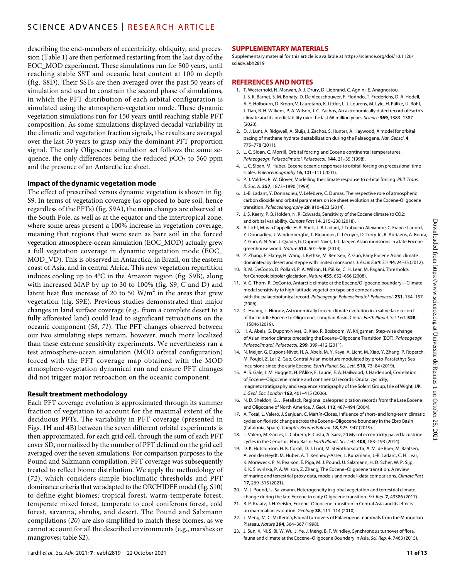describing the end-members of eccentricity, obliquity, and precession (Table 1) are then performed restarting from the last day of the EOC\_MOD experiment. These simulations run for 500 years, until reaching stable SST and oceanic heat content at 100 m depth (fig. S8D). Their SSTs are then averaged over the past 50 years of simulation and used to constrain the second phase of simulations, in which the PFT distribution of each orbital configuration is simulated using the atmosphere-vegetation mode. These dynamic vegetation simulations run for 150 years until reaching stable PFT composition. As some simulations displayed decadal variability in the climatic and vegetation fraction signals, the results are averaged over the last 50 years to grasp only the dominant PFT proportion signal. The early Oligocene simulation set follows the same sequence, the only differences being the reduced  $pCO<sub>2</sub>$  to 560 ppm and the presence of an Antarctic ice sheet.

#### **Impact of the dynamic vegetation mode**

The effect of prescribed versus dynamic vegetation is shown in fig. S9. In terms of vegetation coverage (as opposed to bare soil, hence regardless of the PFTs) (fig. S9A), the main changes are observed at the South Pole, as well as at the equator and the intertropical zone, where some areas present a 100% increase in vegetation coverage, meaning that regions that were seen as bare soil in the forced vegetation atmosphere-ocean simulation (EOC\_MOD) actually grew a full vegetation coverage in dynamic vegetation mode (EOC\_ MOD\_VD). This is observed in Antarctica, in Brazil, on the eastern coast of Asia, and in central Africa. This new vegetation repartition induces cooling up to 4°C in the Amazon region (fig. S9B), along with increased MAP by up to 30 to 100% (fig. S9, C and D) and latent heat flux increase of 20 to 50  $\text{W/m}^2$  in the areas that grew vegetation (fig. S9E). Previous studies demonstrated that major changes in land surface coverage (e.g., from a complete desert to a fully afforested land) could lead to significant retroactions on the oceanic component (*58*, *71*). The PFT changes observed between our two simulating steps remain, however, much more localized than these extreme sensitivity experiments. We nevertheless ran a test atmosphere-ocean simulation (MOD orbital configuration) forced with the PFT coverage map obtained with the MOD atmosphere-vegetation dynamical run and ensure PFT changes did not trigger major retroaction on the oceanic component.

#### **Result treatment methodology**

Each PFT coverage evolution is approximated through its summer fraction of vegetation to account for the maximal extent of the deciduous PFTs. The variability in PFT coverage (presented in Figs. 1H and 4B) between the seven different orbital experiments is then approximated, for each grid cell, through the sum of each PFT cover SD, normalized by the number of PFT defined on the grid cell averaged over the seven simulations. For comparison purposes to the Pound and Salzmann compilation, PFT coverage was subsequently treated to reflect biome distribution. We apply the methodology of (*72*), which considers simple bioclimatic thresholds and PFT dominance criteria that we adapted to the ORCHIDEE model (fig. S10) to define eight biomes: tropical forest, warm-temperate forest, temperate mixed forest, temperate to cool coniferous forest, cold forest, savanna, shrubs, and desert. The Pound and Salzmann compilations (*20*) are also simplified to match these biomes, as we cannot account for all the described environments (e.g., marshes or mangroves; table S2).

#### **SUPPLEMENTARY MATERIALS**

Supplementary material for this article is available at [https://science.org/doi/10.1126/](https://science.org/doi/10.1126/sciadv.abh2819) [sciadv.abh2819](https://science.org/doi/10.1126/sciadv.abh2819)

#### **REFERENCES AND NOTES**

- 1. T. Westerhold, N. Marwan, A. J. Drury, D. Liebrand, C. Agnini, E. Anagnostou, J. S. K. Barnet, S. M. Bohaty, D. De Vleeschouwer, F. Florindo, T. Frederichs, D. A. Hodell, A. E. Holbourn, D. Kroon, V. Lauretano, K. Littler, L. J. Lourens, M. Lyle, H. Pälike, U. Röhl, J. Tian, R. H. Wilkens, P. A. Wilson, J. C. Zachos, An astronomically dated record of Earth's climate and its predictability over the last 66 million years. *Science* **369**, 1383–1387 (2020).
- 2. D. J. Lunt, A. Ridgwell, A. Sluijs, J. Zachos, S. Hunter, A. Haywood, A model for orbital pacing of methane hydrate destabilization during the Palaeogene. *Nat. Geosci.* **4**, 775–778 (2011).
- 3. L. C. Sloan, C. Morrill, Orbital forcing and Eocene continental temperatures. *Palaeogeogr. Palaeoclimatol. Palaeoecol.* **144**, 21–35 (1998).
- 4. L. C. Sloan, M. Huber, Eocene oceanic responses to orbital forcing on precessional time scales. *Paleoceanography* **16**, 101–111 (2001).
- 5. P. J. Valdes, R. W. Glover, Modelling the climate response to orbital forcing. *Phil. Trans. R. Soc. A.* **357**, 1873–1890 (1999).
- 6. J.-B. Ladant, Y. Donnadieu, V. Lefebvre, C. Dumas, The respective role of atmospheric carbon dioxide and orbital parameters on ice sheet evolution at the Eocene-Oligocene transition. *Paleoceanography* **29**, 810–823 (2014).
- 7. J. S. Keery, P. B. Holden, N. R. Edwards, Sensitivity of the Eocene climate to CO2; and orbital variability. *Climate Past* **14**, 215–238 (2018).
- 8. A. Licht, M. van Cappelle, H. A. Abels, J.-B. Ladant, J. Trabucho-Alexandre, C. France-Lanord, Y. Donnadieu, J. Vandenberghe, T. Rigaudier, C. Lécuyer, D. Terry Jr., R. Adriaens, A. Boura, Z. Guo, A. N. Soe, J. Quade, G. Dupont-Nivet, J.-J. Jaeger, Asian monsoons in a late Eocene greenhouse world. *Nature* **513**, 501–506 (2014).
- 9. Z. Zhang, F. Flatøy, H. Wang, I. Bethke, M. Bentsen, Z. Guo, Early Eocene Asian climate dominated by desert and steppe with limited monsoons. *J. Asian Earth Sci.* 44, 24-35 (2012).
- 10. R. M. DeConto, D. Pollard, P. A. Wilson, H. Pälike, C. H. Lear, M. Pagani, Thresholds for Cenozoic bipolar glaciation. *Nature* **455**, 652–656 (2008).
- 11. V. C. Thorn, R. DeConto, Antarctic climate at the Eocene/Oligocene boundary—Climate model sensitivity to high latitude vegetation type and comparisons with the palaeobotanical record. *Palaeogeogr. Palaeoclimatol. Palaeoecol.* **231**, 134–157  $(2006)$
- 12. C. Huang, L. Hinnov, Astronomically forced climate evolution in a saline lake record of the middle Eocene toOligocene, Jianghan Basin, China. *Earth Planet. Sci. Lett.* **528**, 115846 (2019).
- 13. H. A. Abels, G. Dupont-Nivet, G. Xiao, R. Bosboom, W. Krijgsman, Step-wise change ofAsian interior climate preceding the Eocene–Oligocene Transition (EOT). *Palaeogeogr. Palaeoclimatol. Palaeoecol.* **299**, 399–412 (2011).
- 14. N. Meijer, G. Dupont-Nivet, H. A. Abels, M. Y. Kaya, A. Licht, M. Xiao, Y. Zhang, P. Roperch, M. Poujol, Z. Lai, Z. Guo, Central Asian moisture modulated by proto-Paratethys Sea incursions since the early Eocene. *Earth Planet. Sci. Lett.* **510**, 73–84 (2019).
- 15. A. S. Gale, J. M. Huggett, H. PÄlike, E. Laurie, E. A. Hailwood, J. Hardenbol, Correlation of Eocene–Oligocene marine and continental records: Orbital cyclicity, magnetostratigraphy and sequence stratigraphy of the Solent Group, Isle of Wight, UK. *J. Geol. Soc. London* **163**, 401–415 (2006).
- 16. N. D. Sheldon, G. J. Retallack, Regional paleoprecipitation records from the Late Eocene andOligocene of North America. *J. Geol.* **112**, 487–494 (2004).
- 17. A. Tosal, L. Valero, J. Sanjuan, C. Martín-Closas, Influence ofshort- and long-term climatic cycles on floristic change across the Eocene–Oligocene boundary in the Ebro Basin (Catalonia, Spain). *Comptes Rendus Palevol.* **18**, 925–947 (2019).
- 18. L. Valero, M. Garcés, L. Cabrera, E. Costa, A. Sáez, 20 Myr of eccentricity paced lacustrine cycles in the Cenozoic Ebro Basin. *Earth Planet. Sci. Lett.* **408**, 183–193 (2014).
- 19. D. K. Hutchinson, H. K. Coxall, D. J. Lunt, M. Steinthorsdottir, A. M. de Boer, M. Baatsen, A. von der Heydt, M. Huber, A. T. Kennedy-Asser, L. Kunzmann, J.-B. Ladant, C. H. Lear, K. Moraweck, P. N. Pearson, E. Piga, M. J. Pound, U. Salzmann, H. D. Scher, W. P. Sijp, K. K. Śliwińska, P. A. Wilson, Z. Zhang, The Eocene–Oligocene transition: A review of marine and terrestrial proxy data, models and model–data comparisons. *Climate Past* **17**, 269–315 (2021).
- 20. M. J. Pound, U. Salzmann, Heterogeneity in global vegetation and terrestrial climate change during the late Eocene to early Oligocene transition. *Sci. Rep.* **7**, 43386 (2017).
- 21. B. P. Kraatz, J. H. Geisler, Eocene–Oligocene transition in Central Asia and its effects on mammalian evolution. *Geology* **38**, 111–114 (2010).
- 22. J. Meng, M. C. McKenna, Faunal turnovers of Palaeogene mammals from the Mongolian Plateau. *Nature* **394**, 364–367 (1998).
- 23. J. Sun, X. Ni, S. Bi, W. Wu, J. Ye, J. Meng, B. F. Windley, Synchronous turnover of flora, fauna and climate at the Eocene–Oligocene Boundary in Asia. *Sci. Rep.* **4**, 7463 (2015).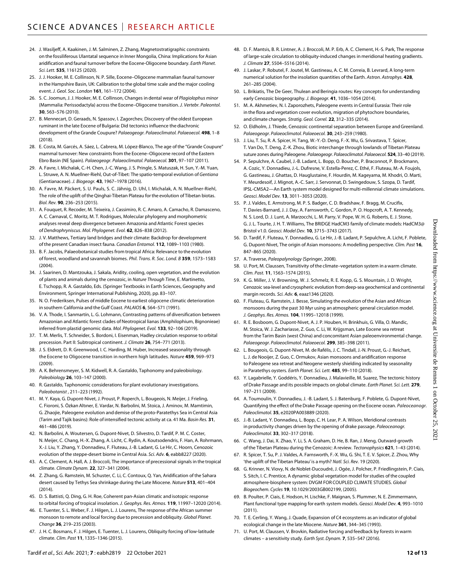- 24. J. Wasiljeff, A. Kaakinen, J. M. Salminen, Z. Zhang, Magnetostratigraphic constraints on the fossiliferous Ulantatal sequence in Inner Mongolia, China: Implications for Asian aridification and faunal turnover before the Eocene-Oligocene boundary. *Earth Planet. Sci. Lett.* **535**, 116125 (2020).
- 25. J. J. Hooker, M. E. Collinson, N. P. Sille, Eocene–Oligocene mammalian faunal turnover in the Hampshire Basin, UK: Calibration to the global time scale and the major cooling event. *J. Geol. Soc. London* **161**, 161–172 (2004).
- 26. S. C. Joomun, J. J. Hooker, M. E. Collinson, Changes in dental wear of *Plagiolophus minor* (Mammalia: Perissodactyla) across the Eocene–Oligocene transition. *J. Vertebr. Paleontol.* **30**, 563–576 (2010).
- 27. B. Mennecart, D. Geraads, N. Spassov, I. Zagorchev, Discovery of the oldest European ruminant in the late Eocene of Bulgaria: Did tectonics influence the diachronic development of the Grande Coupure? *Palaeogeogr. Palaeoclimatol. Palaeoecol.* **498**, 1–8 (2018).
- 28. E. Costa, M. Garcés, A. Sáez, L. Cabrera, M. López-Blanco, The age of the "Grande Coupure" mammal turnover: New constraints from the Eocene–Oligocene record of the Eastern Ebro Basin (NE Spain). *Palaeogeogr. Palaeoclimatol. Palaeoecol.* **301**, 97–107 (2011).
- 29. A. Favre, I. Michalak, C.-H. Chen, J.-C. Wang, J. S. Pringle, S. Matuszak, H. Sun, Y.-M. Yuan, L. Struwe, A. N. Muellner-Riehl, Out-of-Tibet: The spatio-temporal evolution of *Gentiana* (Gentianaceae). *J. Biogeogr.* **43**, 1967–1978 (2016).
- 30. A. Favre, M. Päckert, S. U. Pauls, S. C. Jähnig, D. Uhl, I. Michalak, A. N. Muellner-Riehl, The role of the uplift of the Qinghai-Tibetan Plateau for the evolution of Tibetan biotas. *Biol. Rev.* **90**, 236–253 (2015).
- 31. A. Fouquet, R. Recoder, M. Teixeira, J. Cassimiro, R. C. Amaro, A. Camacho, R. Damasceno, A. C. Carnaval, C. Moritz, M. T. Rodrigues, Molecular phylogeny and morphometric analyses reveal deep divergence between Amazonia and Atlantic Forest species of *Dendrophryniscus*. *Mol. Phylogenet. Evol.* **62**, 826–838 (2012).
- 32. J. V. Matthews, Tertiary land bridges and their climate: Backdrop for development of the present Canadian insect fauna. *Canadian Entomol.* **112**, 1089–1103 (1980).
- 33. B. F. Jacobs, Palaeobotanical studies from tropical Africa: Relevance to the evolution of forest, woodland and savannah biomes. *Phil. Trans. R. Soc. Lond. B* **359**, 1573–1583  $(2004)$
- 34. J. Saarinen, D. Mantzouka, J. Sakala, Aridity, cooling, open vegetation, and the evolution of plants and animals during the cenozoic, in *Nature Through Time*, E. Martinetto, E. Tschopp, R. A. Gastaldo, Eds. (Springer Textbooks in Earth Sciences, Geography and Environment, Springer International Publishing, 2020), pp. 83–107.
- 35. N. O. Frederiksen, Pulses of middle Eocene to earliest oligocene climatic deterioration in southern California and the Gulf Coast. *PALAIOS* **6**, 564–571 (1991).
- 36. V. A. Thode, I. Sanmartín, L. G. Lohmann, Contrasting patterns of diversification between Amazonian and Atlantic forest clades of Neotropical lianas (Amphilophium, Bignonieae) inferred from plastid genomic data. *Mol. Phylogenet. Evol.* **133**, 92–106 (2019).
- 37. T. M. Merlis, T. Schneider, S. Bordoni, I. Eisenman, Hadley circulation response to orbital precession. Part II: Subtropical continent. *J. Climate* **26**, 754–771 (2013).
- 38. J. S. Eldrett, D. R. Greenwood, I. C. Harding, M. Huber, Increased seasonality through the Eocene to Oligocene transition in northern high latitudes. *Nature* **459**, 969–973 (2009).
- 39. A. K. Behrensmeyer, S. M. Kidwell, R. A. Gastaldo, Taphonomy and paleobiology. *Paleobiology* **26**, 103–147 (2000).
- 40. R. Gastaldo, Taphonomic considerations for plant evolutionary investigations. *Paleobotanist* , 211–223 (1992).
- 41. M. Y. Kaya, G. Dupont-Nivet, J. Proust, P. Roperch, L. Bougeois, N. Meijer, J. Frieling, C. Fioroni, S. Özkan Altıner, E. Vardar, N. Barbolini, M. Stoica, J. Aminov, M. Mamtimin, G. Zhaojie, Paleogene evolution and demise of the proto-Paratethys Sea in Central Asia (Tarim and Tajik basins): Role of intensified tectonic activity at ca. 41 Ma. *Basin Res.* **31**, 461–486 (2019).
- 42. N. Barbolini, A. Woutersen, G. Dupont-Nivet, D. Silvestro, D. Tardif, P. M. C. Coster, N. Meijer, C. Chang, H.-X. Zhang, A. Licht, C. Rydin, A. Koutsodendris, F. Han, A. Rohrmann, X.-J. Liu, Y. Zhang, Y. Donnadieu, F. Fluteau, J.-B. Ladant, G. Le Hir, C. Hoorn, Cenozoic evolution of the steppe-desert biome in Central Asia. *Sci. Adv.* **6**, eabb8227 (2020).
- 43. A. C. Clement, A. Hall, A. J. Broccoli, The importance of precessional signals in the tropical climate. *Climate Dynam.* **22**, 327–341 (2004).
- 44. Z. Zhang, G. Ramstein, M. Schuster, C. Li, C. Contoux, Q. Yan, Aridification of the Sahara desert caused by Tethys Sea shrinkage during the Late Miocene. *Nature* **513**, 401–404  $(2014)$
- 45. D. S. Battisti, Q. Ding, G. H. Roe, Coherent pan-Asian climatic and isotopic response to orbital forcing of tropical insolation. *J. Geophys. Res. Atmos.* **119**, 11997–12020 (2014).
- 46. E. Tuenter, S. L. Weber, F. J. Hilgen, L. J. Lourens, The response of the African summer monsoon to remote and local forcing due to precession and obliquity. *Global Planet. Change* **36**, 219–235 (2003).
- 47. J. H. C. Bosmans, F. J. Hilgen, E. Tuenter, L. J. Lourens, Obliquity forcing of low-latitude climate. *Clim. Past* **11**, 1335–1346 (2015).
- 48. D. F. Mantsis, B. R. Lintner, A. J. Broccoli, M. P. Erb, A. C. Clement, H.-S. Park, The response of large-scale circulation to obliquity-induced changes in meridional heating gradients. *J. Climate* **27**, 5504–5516 (2014).
- 49. J. Laskar, P. Robutel, F. Joutel, M. Gastineau, A. C. M. Correia, B. Levrard, A long-term numerical solution for the insolation quantities of the Earth. *Astron. Astrophys.* **428**, 261–285 (2004).
- 50. L. Brikiatis, The De Geer, Thulean and Beringia routes: Key concepts for understanding early Cenozoic biogeography. *J. Biogeogr.* **41**, 1036–1054 (2014).
- 51. M. A. Akhmetiev, N. I. Zaporozhets, Paleogene events in Central Eurasia: Their role in the flora and vegetation cover evolution, migration of phytochore boundaries, and climate changes. *Stratig. Geol. Correl.* **22**, 312–335 (2014).
- 52. O. Eldholm, J. Thiede, Cenozoic continental separation between Europe and Greenland. *Palaeogeogr. Palaeoclimatol. Palaeoecol.* **30**, 243–259 (1980).
- 53. J. Liu, T. Su, R. A. Spicer, H. Tang, W.-Y.-D. Deng, F.-X. Wu, G. Srivastava, T. Spicer, T. Van Do, T. Deng, Z.-K. Zhou, Biotic interchange through lowlands of Tibetan Plateau suture zones during Paleogene. *Palaeogeogr. Palaeoclimatol. Palaeoecol.* **524**, 33–40 (2019).
- 54. P. Sepulchre, A. Caubel, J.-B. Ladant, L. Bopp, O. Boucher, P. Braconnot, P. Brockmann, A. Cozic, Y. Donnadieu, J.-L. Dufresne, V. Estella-Perez, C. Ethé, F. Fluteau, M.-A. Foujols, G. Gastineau, J. Ghattas, D. Hauglustaine, F. Hourdin, M. Kageyama, M. Khodri, O. Marti, Y. Meurdesoif, J. Mignot, A.-C. Sarr, J. Servonnat, D. Swingedouw, S. Szopa, D. Tardif, IPSL-CM5A2—An Earth system model designed for multi-millennial climate simulations. *Geosci. Model Dev.* **13**, 3011–3053 (2020).
- 55. P. J. Valdes, E. Armstrong, M. P. S. Badger, C. D. Bradshaw, F. Bragg, M. Crucifix, T. Davies-Barnard, J. J. Day, A. Farnsworth, C. Gordon, P. O. Hopcroft, A. T. Kennedy, N. S. Lord, D. J. Lunt, A. Marzocchi, L. M. Parry, V. Pope, W. H. G. Roberts, E. J. Stone, G. J. L. Tourte, J. H. T. Williams, The BRIDGE HadCM3 family of climate models: HadCM3@ Bristol v1.0. *Geosci. Model Dev.* **10**, 3715–3743 (2017).
- 56. D. Tardif, F. Fluteau, Y. Donnadieu, G. Le Hir, J.-B. Ladant, P. Sepulchre, A. Licht, F. Poblete, G. Dupont-Nivet, The origin of Asian monsoons: A modelling perspective. *Clim. Past* **16**, 847–865 (2020).
- 57. A. Traverse, *Paleopalynology* (Springer, 2008).
- U. Port, M. Claussen, Transitivity of the climate–vegetation system in a warm climate. *Clim. Past.* **11**, 1563–1574 (2015).
- 59. K. G. Miller, J. V. Browning, W. J. Schmelz, R. E. Kopp, G. S. Mountain, J. D. Wright, Cenozoic sea-level and cryospheric evolution from deep-sea geochemical and continental margin records. *Sci. Adv.* **6**, eaaz1346 (2020).
- 60. F. Fluteau, G. Ramstein, J. Besse, Simulating the evolution of the Asian and African monsoons during the past 30 Myr using an atmospheric general circulation model. *J. Geophys. Res. Atmos.* **104**, 11995–12018 (1999).
- 61. R. E. Bosboom, G. Dupont-Nivet, A. J. P. Houben, H. Brinkhuis, G. Villa, O. Mandic, M. Stoica, W. J. Zachariasse, Z. Guo, C. Li, W. Krijgsman, Late Eocene sea retreat from the Tarim Basin (west China) and concomitant Asian paleoenvironmental change. *Palaeogeogr. Palaeoclimatol. Palaeoecol.* **299**, 385–398 (2011).
- 62. L. Bougeois, G. Dupont-Nivet, M. de Rafélis, J. C. Tindall, J.-N. Proust, G.-J. Reichart, L. J. de Nooijer, Z. Guo, C. Ormukov, Asian monsoons and aridification response to Paleogene sea retreat and Neogene westerly shielding indicated by seasonality in Paratethys oysters. *Earth Planet. Sci. Lett.* **485**, 99–110 (2018).
- 63. Y. Lagabrielle, Y. Goddéris, Y. Donnadieu, J. Malavieille, M. Suarez, The tectonic history of Drake Passage and its possible impacts on global climate. *Earth Planet. Sci. Lett.* **279**, 197–211 (2009).
- 64. A. Toumoulin, Y. Donnadieu, J. -B. Ladant, S. J. Batenburg, F. Poblete, G. Dupont-Nivet, Quantifying the effect of the Drake Passage opening on the Eocene ocean. *Paleoceanogr. Paleoclimatol.* **35**, e2020PA003889 (2020).
- 65. J.-B. Ladant, Y. Donnadieu, L. Bopp, C. H. Lear, P. A. Wilson, Meridional contrasts in productivity changes driven by the opening of drake passage. *Paleoceanogr. Paleoclimatol.* **33**, 302–317 (2018).
- 66. C. Wang, J. Dai, X. Zhao, Y. Li, S. A. Graham, D. He, B. Ran, J. Meng, Outward-growth of the Tibetan Plateau during the Cenozoic: A review. *Tectonophysics* **621**, 1–43 (2014).
- 67. R. Spicer, T. Su, P. J. Valdes, A. Farnsworth, F.-X. Wu, G. Shi, T. E. V. Spicer, Z. Zhou, Why 'the uplift of the Tibetan Plateau' is a myth? *Natl. Sci. Rev.* 19 (2020).
- 68. G. Krinner, N. Viovy, N. de Noblet-Ducoudré, J. Ogée, J. Polcher, P. Friedlingstein, P. Ciais, S. Sitch, I. C. Prentice, A dynamic global vegetation model forstudies of the coupled atmosphere-biosphere system: DVGM FOR COUPLED CLIMATE STUDIES. *Global Biogeochem. Cycles* **19**, 10.1029/2003GB002199, (2005).
- 69. B. Poulter, P. Ciais, E. Hodson, H. Lischke, F. Maignan, S. Plummer, N. E. Zimmermann, Plant functional type mapping for earth system models. *Geosci. Model Dev.* **4**, 993–1010 (2011).
- 70. T. E. Cerling, Y. Wang, J. Quade, Expansion of C4 ecosystems as an indicator of global ecological change in the late Miocene. *Nature* **361**, 344–345 (1993).
- 71. U. Port, M. Claussen, V. Brovkin, Radiative forcing and feedback by forests in warm climates – a sensitivity study. *Earth Syst. Dynam.* **7**, 535–547 (2016).

Downloaded from https://www.science.org at Universite de Rennes 1 on October 25, Downloaded from https://www.science.org at Universite de Rennes 1 on October 25, 2021

202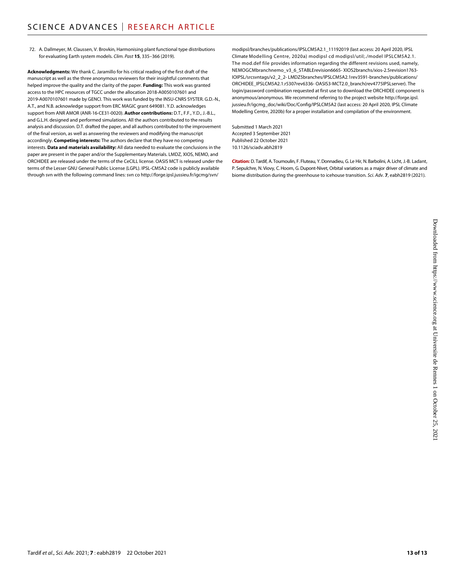72. A. Dallmeyer, M. Claussen, V. Brovkin, Harmonising plant functional type distributions for evaluating Earth system models. *Clim. Past* **15**, 335–366 (2019).

**Acknowledgments:** We thank C. Jaramillo for his critical reading of the first draft of the manuscript as well as the three anonymous reviewers for their insightful comments that helped improve the quality and the clarity of the paper. **Funding:** This work was granted access to the HPC resources of TGCC under the allocation 2018-A0050107601 and 2019-A0070107601 made by GENCI. This work was funded by the INSU-CNRS SYSTER. G.D.-N., A.T., and N.B. acknowledge support from ERC MAGIC grant 649081. Y.D. acknowledges support from ANR AMOR (ANR-16-CE31-0020). **Author contributions:** D.T., F.F., Y.D., J.-B.L., and G.L.H. designed and performed simulations. All the authors contributed to the results analysis and discussion. D.T. drafted the paper, and all authors contributed to the improvement of the final version, as well as answering the reviewers and modifying the manuscript accordingly. **Competing interests:** The authors declare that they have no competing interests. **Data and materials availability:** All data needed to evaluate the conclusions in the paper are present in the paper and/or the Supplementary Materials. LMDZ, XIOS, NEMO, and ORCHIDEE are released under the terms of the CeCILL license. OASIS MCT is released under the terms of the Lesser GNU General Public License (LGPL). IPSL-CM5A2 code is publicly available through svn with the following command lines: svn co [http://forge.ipsl.jussieu.fr/igcmg/svn/](http://forge.ipsl.jussieu.fr/igcmg/svn/modipsl/branches/publications/IPSLCM5A2.1_11192019)

[modipsl/branches/publications/IPSLCM5A2.1\\_11192019](http://forge.ipsl.jussieu.fr/igcmg/svn/modipsl/branches/publications/IPSLCM5A2.1_11192019) (last access: 20 April 2020, IPSL Climate Modelling Centre, 2020a) modipsl cd modipsl/util;./model IPSLCM5A2.1. The mod.def file provides information regarding the different revisions used, namely, NEMOGCMbranchnemo\_v3\_6\_STABLErevision6665- XIOS2branchs/xios-2.5revision1763- IOIPSL/srcsvntags/v2\_2\_2- LMDZ5branches/IPSLCM5A2.1rev3591-branches/publications/ ORCHIDEE\_IPSLCM5A2.1.r5307rev6336- OASIS3-MCT2.0\_branch(rev4775IPSLserver). The login/password combination requested at first use to download the ORCHIDEE component is anonymous/anonymous. We recommend referring to the project website [http://forge.ipsl.](http://forge.ipsl.jussieu.fr/igcmg_doc/wiki/Doc/Config/IPSLCM5A2) [jussieu.fr/igcmg\\_doc/wiki/Doc/Config/IPSLCM5A2](http://forge.ipsl.jussieu.fr/igcmg_doc/wiki/Doc/Config/IPSLCM5A2) (last access: 20 April 2020, IPSL Climate Modelling Centre, 2020b) for a proper installation and compilation of the environment.

Submitted 1 March 2021 Accepted 3 September 2021 Published 22 October 2021 10.1126/sciadv.abh2819

**Citation:** D. Tardif, A. Toumoulin, F. Fluteau, Y.Donnadieu, G. Le Hir, N. Barbolini, A. Licht, J.-B. Ladant, P. Sepulchre, N. Viovy, C. Hoorn, G. Dupont-Nivet, Orbital variations as a major driver of climate and biome distribution during the greenhouse to icehouse transition. *Sci. Adv.* **7**, eabh2819 (2021).